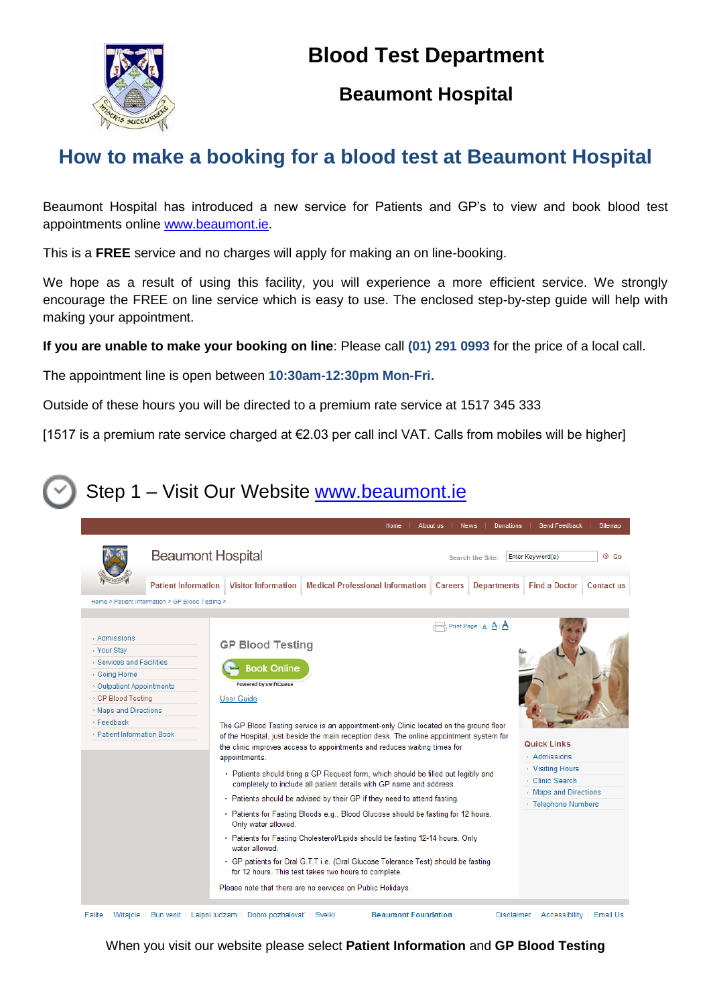## **Blood Test Department**



#### **Beaumont Hospital**

# **How to make a booking for a blood test at Beaumont Hospital**

Beaumont Hospital has introduced a new service for Patients and GP's to view and book blood test appointments online [www.beaumont.ie.](http://www.beaumont.ie/)

This is a **FREE** service and no charges will apply for making an on line-booking.

We hope as a result of using this facility, you will experience a more efficient service. We strongly encourage the FREE on line service which is easy to use. The enclosed step-by-step guide will help with making your appointment.

**If you are unable to make your booking on line**: Please call **(01) 291 0993** for the price of a local call.

The appointment line is open between **10:30am-12:30pm Mon-Fri.**

Outside of these hours you will be directed to a premium rate service at 1517 345 333

[1517 is a premium rate service charged at €2.03 per call incl VAT. Calls from mobiles will be higher]

## Step 1 – Visit Our Website [www.beaumont.ie](http://www.beaumont.ie/)



When you visit our website please select **Patient Information** and **GP Blood Testing**